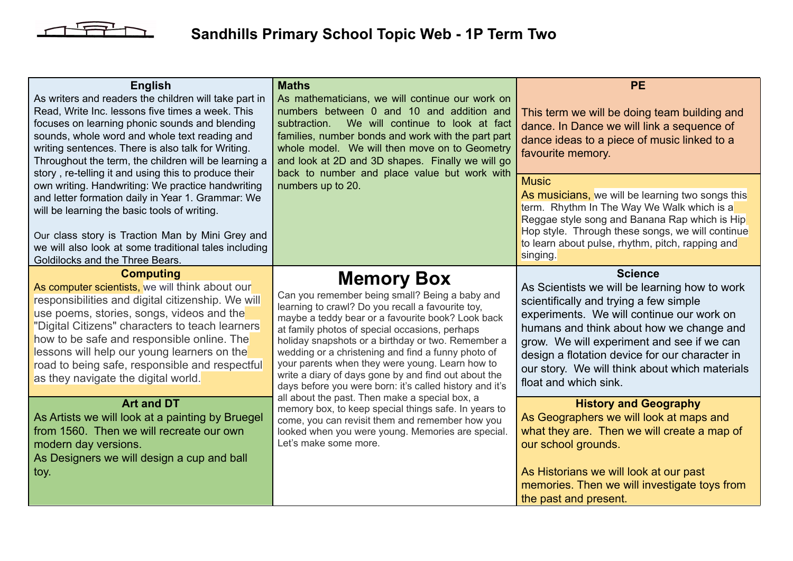

## **Sandhills Primary School Topic Web - 1P Term Two**

| <b>English</b><br>As writers and readers the children will take part in<br>Read, Write Inc. lessons five times a week. This<br>focuses on learning phonic sounds and blending<br>sounds, whole word and whole text reading and<br>writing sentences. There is also talk for Writing.<br>Throughout the term, the children will be learning a<br>story, re-telling it and using this to produce their           | <b>Maths</b><br>As mathematicians, we will continue our work on<br>numbers between 0 and 10 and addition and<br>We will continue to look at fact<br>subtraction.<br>families, number bonds and work with the part part<br>whole model. We will then move on to Geometry<br>and look at 2D and 3D shapes. Finally we will go<br>back to number and place value but work with                                                                                                                                       | <b>PE</b><br>This term we will be doing team building and<br>dance. In Dance we will link a sequence of<br>dance ideas to a piece of music linked to a<br>favourite memory.                                                                                                                                                                                                   |
|----------------------------------------------------------------------------------------------------------------------------------------------------------------------------------------------------------------------------------------------------------------------------------------------------------------------------------------------------------------------------------------------------------------|-------------------------------------------------------------------------------------------------------------------------------------------------------------------------------------------------------------------------------------------------------------------------------------------------------------------------------------------------------------------------------------------------------------------------------------------------------------------------------------------------------------------|-------------------------------------------------------------------------------------------------------------------------------------------------------------------------------------------------------------------------------------------------------------------------------------------------------------------------------------------------------------------------------|
| own writing. Handwriting: We practice handwriting<br>and letter formation daily in Year 1. Grammar: We<br>will be learning the basic tools of writing.<br>Our class story is Traction Man by Mini Grey and<br>we will also look at some traditional tales including<br>Goldilocks and the Three Bears.                                                                                                         | numbers up to 20.                                                                                                                                                                                                                                                                                                                                                                                                                                                                                                 | <b>Music</b><br>As musicians, we will be learning two songs this<br>term. Rhythm In The Way We Walk which is a<br>Reggae style song and Banana Rap which is Hip<br>Hop style. Through these songs, we will continue<br>to learn about pulse, rhythm, pitch, rapping and<br>singing.                                                                                           |
| <b>Computing</b><br>As computer scientists, we will think about our<br>responsibilities and digital citizenship. We will<br>use poems, stories, songs, videos and the<br>"Digital Citizens" characters to teach learners<br>how to be safe and responsible online. The<br>lessons will help our young learners on the<br>road to being safe, responsible and respectful<br>as they navigate the digital world. | <b>Memory Box</b><br>Can you remember being small? Being a baby and<br>learning to crawl? Do you recall a favourite toy,<br>maybe a teddy bear or a favourite book? Look back<br>at family photos of special occasions, perhaps<br>holiday snapshots or a birthday or two. Remember a<br>wedding or a christening and find a funny photo of<br>your parents when they were young. Learn how to<br>write a diary of days gone by and find out about the<br>days before you were born: it's called history and it's | <b>Science</b><br>As Scientists we will be learning how to work<br>scientifically and trying a few simple<br>experiments. We will continue our work on<br>humans and think about how we change and<br>grow. We will experiment and see if we can<br>design a flotation device for our character in<br>our story. We will think about which materials<br>float and which sink. |
| <b>Art and DT</b><br>As Artists we will look at a painting by Bruegel<br>from 1560. Then we will recreate our own<br>modern day versions.<br>As Designers we will design a cup and ball<br>toy.                                                                                                                                                                                                                | all about the past. Then make a special box, a<br>memory box, to keep special things safe. In years to<br>come, you can revisit them and remember how you<br>looked when you were young. Memories are special.<br>Let's make some more.                                                                                                                                                                                                                                                                           | <b>History and Geography</b><br>As Geographers we will look at maps and<br>what they are. Then we will create a map of<br>our school grounds.<br>As Historians we will look at our past<br>memories. Then we will investigate toys from<br>the past and present.                                                                                                              |